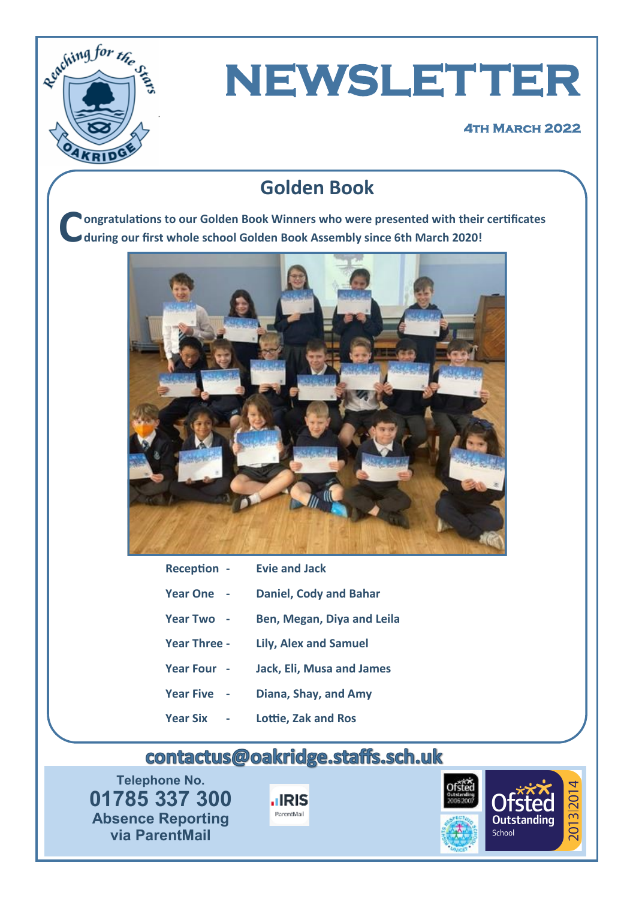

# **NEWSLETTER**

#### **4th March 2022**

#### **Golden Book**

**C ongratulations to our Golden Book Winners who were presented with their certificates during our first whole school Golden Book Assembly since 6th March 2020!** 



| <b>Reception -</b>  | <b>Evie and Jack</b>             |
|---------------------|----------------------------------|
| <b>Year One</b>     | <b>Daniel, Cody and Bahar</b>    |
| Year Two -          | Ben, Megan, Diya and Leila       |
| <b>Year Three -</b> | <b>Lily, Alex and Samuel</b>     |
| Year Four -         | <b>Jack, Eli, Musa and James</b> |
| <b>Year Five</b>    | Diana, Shay, and Amy             |
| <b>Year Six</b>     | Lottie, Zak and Ros              |

#### contactus@oakridge.staffs.sch.uk

**Telephone No. 01785 337 300 Absence Reporting via ParentMail**



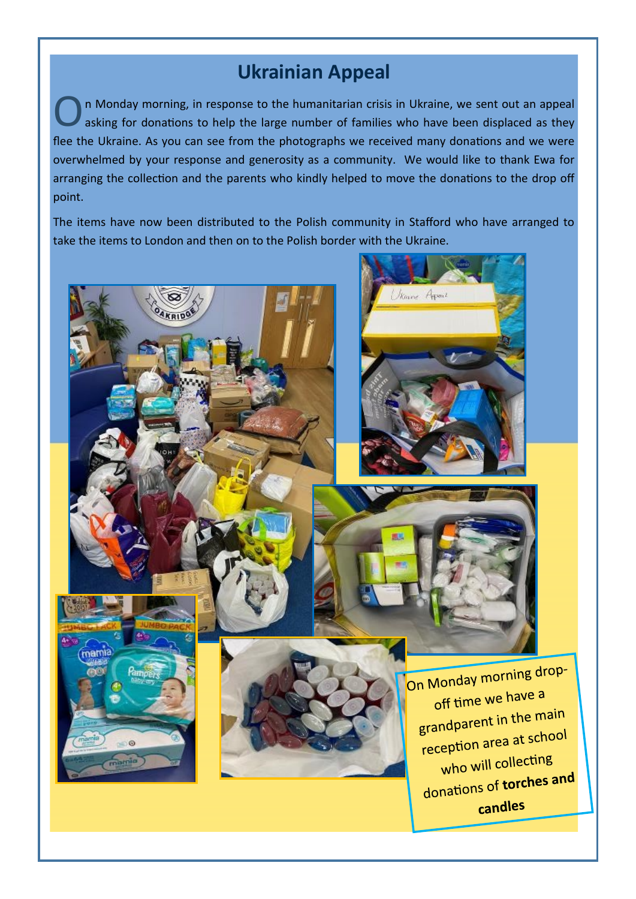#### **Ukrainian Appeal**

O n Monday morning, in response to the humanitarian crisis in Ukraine, we sent out an appeal asking for donations to help the large number of families who have been displaced as they flee the Ukraine. As you can see from the photographs we received many donations and we were overwhelmed by your response and generosity as a community. We would like to thank Ewa for arranging the collection and the parents who kindly helped to move the donations to the drop off point.

The items have now been distributed to the Polish community in Stafford who have arranged to take the items to London and then on to the Polish border with the Ukraine.



mam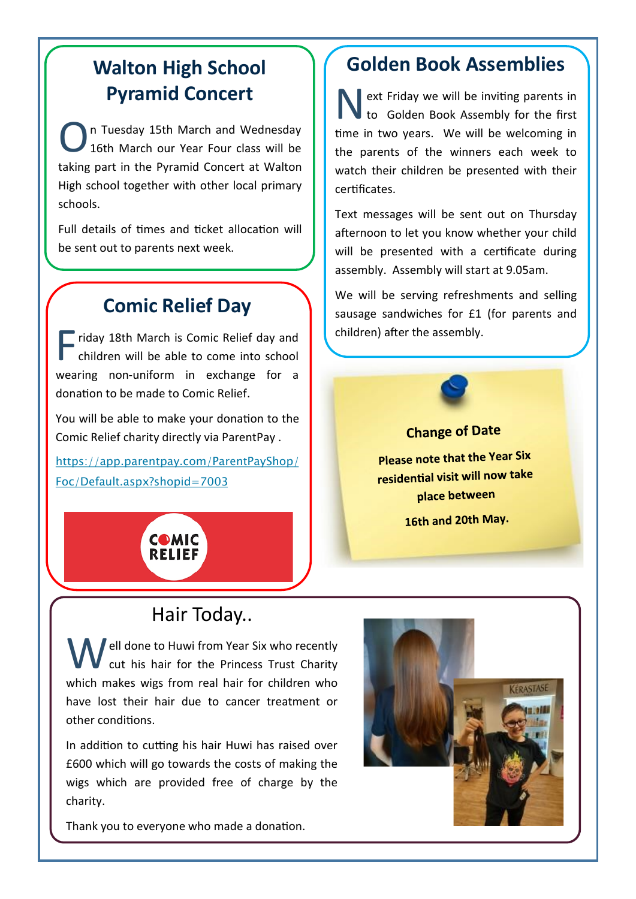### **Walton High School Pyramid Concert**

O n Tuesday 15th March and Wednesday 16th March our Year Four class will be taking part in the Pyramid Concert at Walton High school together with other local primary schools.

Full details of times and ticket allocation will be sent out to parents next week.

#### **Comic Relief Day**

Fiday 18th March is Comic Relief day and<br>children will be able to come into school children will be able to come into school wearing non-uniform in exchange for a donation to be made to Comic Relief.

You will be able to make your donation to the Comic Relief charity directly via ParentPay .

[https://app.parentpay.com/ParentPayShop/](https://app.parentpay.com/ParentPayShop/Foc/Default.aspx?shopid=7003) [Foc/Default.aspx?shopid=7003](https://app.parentpay.com/ParentPayShop/Foc/Default.aspx?shopid=7003)

#### **Golden Book Assemblies**

N ext Friday we will be inviting parents in to Golden Book Assembly for the first time in two years. We will be welcoming in the parents of the winners each week to watch their children be presented with their certificates.

Text messages will be sent out on Thursday afternoon to let you know whether your child will be presented with a certificate during assembly. Assembly will start at 9.05am.

We will be serving refreshments and selling sausage sandwiches for £1 (for parents and children) after the assembly.

#### **Change of Date**

**Please note that the Year Six** residential visit will now take place between

16th and 20th May.



#### Hair Today..

Well done to Huwi from Year Six who recently<br>cut his hair for the Princess Trust Charity which makes wigs from real hair for children who have lost their hair due to cancer treatment or other conditions.

In addition to cutting his hair Huwi has raised over £600 which will go towards the costs of making the wigs which are provided free of charge by the charity.

Thank you to everyone who made a donation.

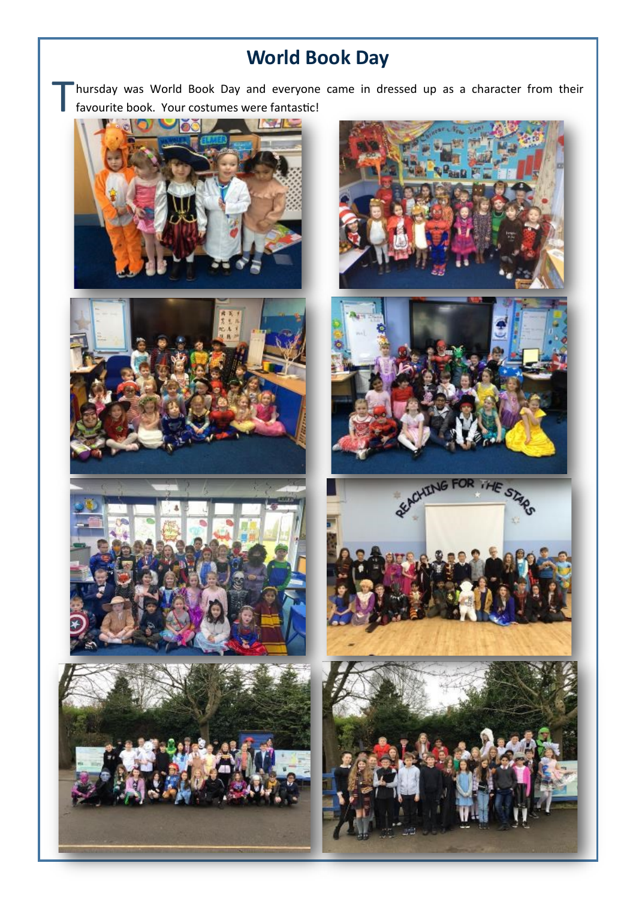## **World Book Day**

T hursday was World Book Day and everyone came in dressed up as a character from their favourite book. Your costumes were fantastic!